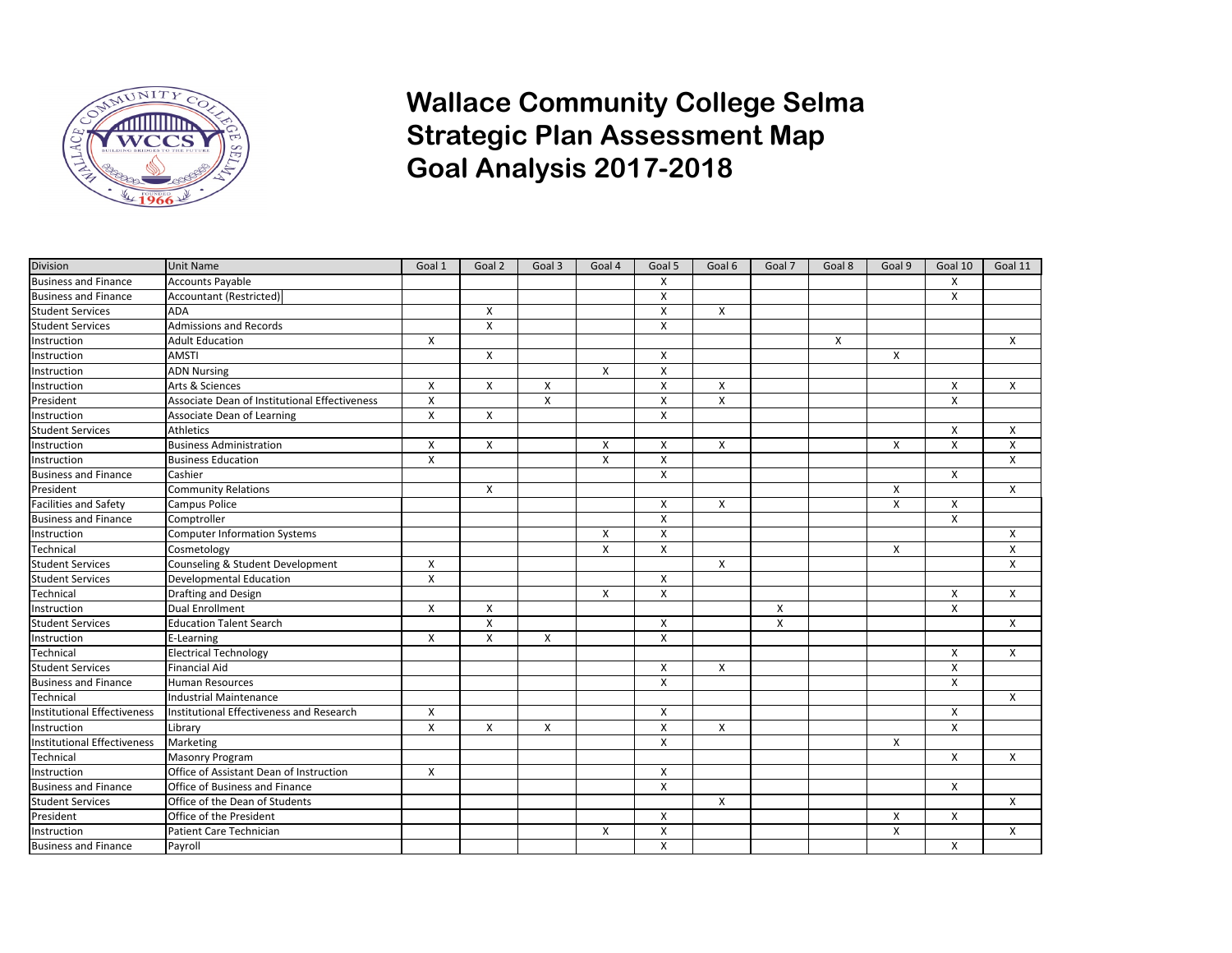

## **Wallace Community College Selma Strategic Plan Assessment Map Goal Analysis 2017-2018**

| <b>Division</b>                    | Unit Name                                     | Goal 1                    | Goal 2         | Goal 3 | Goal 4                    | Goal 5       | Goal 6 | Goal 7                    | Goal 8 | Goal 9 | Goal 10        | Goal 11                   |
|------------------------------------|-----------------------------------------------|---------------------------|----------------|--------|---------------------------|--------------|--------|---------------------------|--------|--------|----------------|---------------------------|
| <b>Business and Finance</b>        | Accounts Payable                              |                           |                |        |                           | X            |        |                           |        |        | X              |                           |
| <b>Business and Finance</b>        | Accountant (Restricted)                       |                           |                |        |                           | X            |        |                           |        |        | X              |                           |
| <b>Student Services</b>            | <b>ADA</b>                                    |                           | X              |        |                           | X            | X      |                           |        |        |                |                           |
| <b>Student Services</b>            | Admissions and Records                        |                           | $\pmb{\times}$ |        |                           | X            |        |                           |        |        |                |                           |
| Instruction                        | Adult Education                               | X                         |                |        |                           |              |        |                           | X      |        |                | X                         |
| Instruction                        | AMSTI                                         |                           | X              |        |                           | X            |        |                           |        | X      |                |                           |
| Instruction                        | <b>ADN Nursing</b>                            |                           |                |        | X                         | X            |        |                           |        |        |                |                           |
| Instruction                        | Arts & Sciences                               | X                         | X              | X      |                           | X            | X      |                           |        |        | X              | X                         |
| President                          | Associate Dean of Institutional Effectiveness | X                         |                | X      |                           | X            | X      |                           |        |        | X              |                           |
| Instruction                        | Associate Dean of Learning                    | $\mathsf{x}$              | X              |        |                           | X            |        |                           |        |        |                |                           |
| <b>Student Services</b>            | Athletics                                     |                           |                |        |                           |              |        |                           |        |        | X              | X                         |
| Instruction                        | <b>Business Administration</b>                | X                         | X              |        | $\boldsymbol{\mathsf{x}}$ | X            | X      |                           |        | X      | X              | X                         |
| Instruction                        | Business Education                            | X                         |                |        | $\boldsymbol{\mathsf{x}}$ | X            |        |                           |        |        |                | X                         |
| Business and Finance               | Cashier                                       |                           |                |        |                           | X            |        |                           |        |        | X              |                           |
| President                          | Community Relations                           |                           | X              |        |                           |              |        |                           |        | X      |                | X                         |
| <b>Facilities and Safety</b>       | Campus Police                                 |                           |                |        |                           | X            | X      |                           |        | X      | X              |                           |
| <b>Business and Finance</b>        | Comptroller                                   |                           |                |        |                           | X            |        |                           |        |        | X              |                           |
| Instruction                        | Computer Information Systems                  |                           |                |        | X                         | X            |        |                           |        |        |                | X                         |
| Technical                          | Cosmetology                                   |                           |                |        | $\boldsymbol{\mathsf{x}}$ | X            |        |                           |        | X      |                | X                         |
| <b>Student Services</b>            | Counseling & Student Development              | X                         |                |        |                           |              | X      |                           |        |        |                | $\boldsymbol{\mathsf{X}}$ |
| <b>Student Services</b>            | Developmental Education                       | $\boldsymbol{\mathsf{X}}$ |                |        |                           | X            |        |                           |        |        |                |                           |
| Technical                          | Drafting and Design                           |                           |                |        | X                         | X            |        |                           |        |        | X              | X                         |
| Instruction                        | Dual Enrollment                               | X                         | X              |        |                           |              |        | X                         |        |        | $\pmb{\times}$ |                           |
| <b>Student Services</b>            | <b>Education Talent Search</b>                |                           | X              |        |                           | X            |        | $\boldsymbol{\mathsf{X}}$ |        |        |                | X                         |
| Instruction                        | E-Learning                                    | X                         | X              | X      |                           | X            |        |                           |        |        |                |                           |
| Technical                          | <b>Electrical Technology</b>                  |                           |                |        |                           |              |        |                           |        |        | X              | X                         |
| <b>Student Services</b>            | Financial Aid                                 |                           |                |        |                           | X            | X      |                           |        |        | X              |                           |
| <b>Business and Finance</b>        | Human Resources                               |                           |                |        |                           | X            |        |                           |        |        | X              |                           |
| Technical                          | Industrial Maintenance                        |                           |                |        |                           |              |        |                           |        |        |                | X                         |
| <b>Institutional Effectiveness</b> | Institutional Effectiveness and Research      | X                         |                |        |                           | X            |        |                           |        |        | X              |                           |
| Instruction                        | Library                                       | X                         | X              | X      |                           | X            | X      |                           |        |        | $\mathsf{x}$   |                           |
| <b>Institutional Effectiveness</b> | Marketing                                     |                           |                |        |                           | $\mathsf{x}$ |        |                           |        | X      |                |                           |
| Technical                          | Masonry Program                               |                           |                |        |                           |              |        |                           |        |        | X              | X                         |
| Instruction                        | Office of Assistant Dean of Instruction       | $\mathsf{x}$              |                |        |                           | X            |        |                           |        |        |                |                           |
| <b>Business and Finance</b>        | Office of Business and Finance                |                           |                |        |                           | X            |        |                           |        |        | X              |                           |
| <b>Student Services</b>            | Office of the Dean of Students                |                           |                |        |                           |              | X      |                           |        |        |                | X                         |
| President                          | Office of the President                       |                           |                |        |                           | X            |        |                           |        | x      | X              |                           |
| Instruction                        | Patient Care Technician                       |                           |                |        | X                         | X            |        |                           |        | X      |                | X                         |
| <b>Business and Finance</b>        | Payroll                                       |                           |                |        |                           | X            |        |                           |        |        | X              |                           |